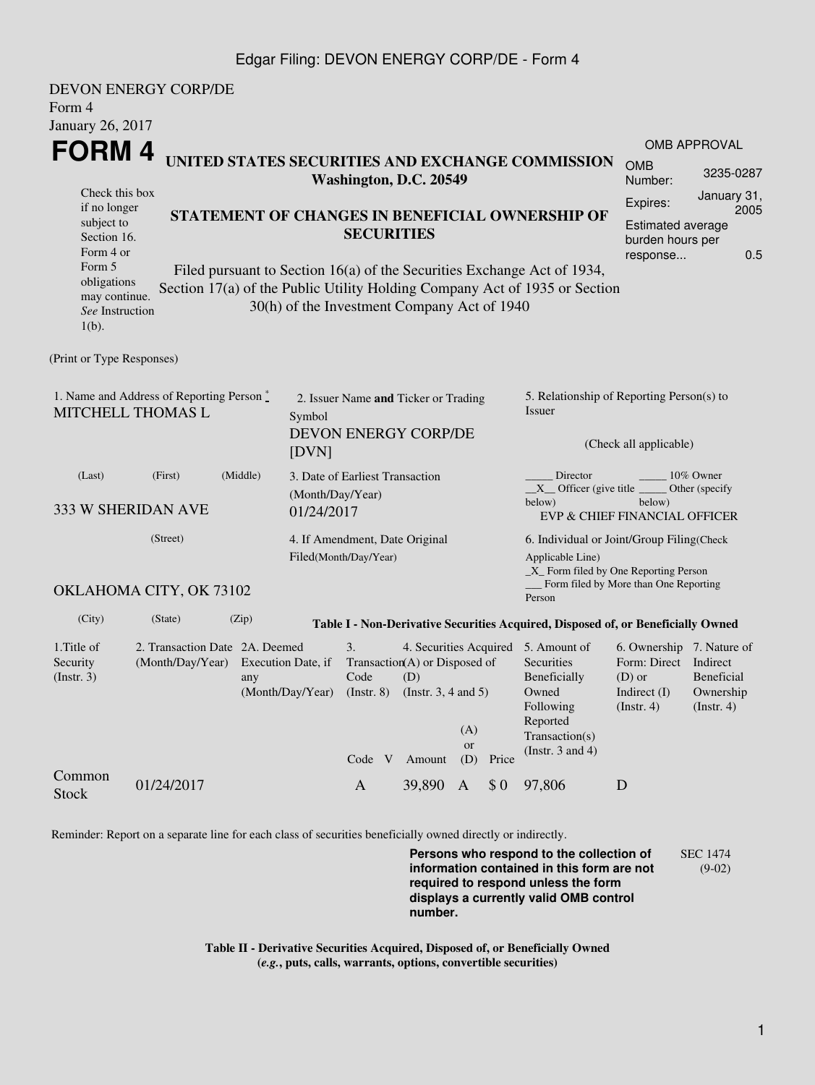## Edgar Filing: DEVON ENERGY CORP/DE - Form 4

| Form 4<br>January 26, 2017                                            | <b>DEVON ENERGY CORP/DE</b>                                           |       |                                                                   |                                                                        |                                                                            |                         |       |                                                                                                                                                |                                                                                                    |                                                    |  |  |
|-----------------------------------------------------------------------|-----------------------------------------------------------------------|-------|-------------------------------------------------------------------|------------------------------------------------------------------------|----------------------------------------------------------------------------|-------------------------|-------|------------------------------------------------------------------------------------------------------------------------------------------------|----------------------------------------------------------------------------------------------------|----------------------------------------------------|--|--|
|                                                                       |                                                                       |       |                                                                   |                                                                        |                                                                            |                         |       |                                                                                                                                                |                                                                                                    | <b>OMB APPROVAL</b>                                |  |  |
| FORM 4                                                                |                                                                       |       |                                                                   |                                                                        | UNITED STATES SECURITIES AND EXCHANGE COMMISSION<br>Washington, D.C. 20549 |                         |       |                                                                                                                                                |                                                                                                    | 3235-0287                                          |  |  |
| Check this box<br>if no longer                                        |                                                                       |       |                                                                   |                                                                        |                                                                            |                         |       |                                                                                                                                                |                                                                                                    | January 31,<br>2005                                |  |  |
| subject to<br>Section 16.<br>Form 4 or                                | STATEMENT OF CHANGES IN BENEFICIAL OWNERSHIP OF<br><b>SECURITIES</b>  |       |                                                                   |                                                                        |                                                                            |                         |       |                                                                                                                                                | <b>Estimated average</b><br>burden hours per                                                       |                                                    |  |  |
| Form 5                                                                |                                                                       |       |                                                                   |                                                                        |                                                                            |                         |       | Filed pursuant to Section 16(a) of the Securities Exchange Act of 1934,                                                                        | response                                                                                           | 0.5                                                |  |  |
| obligations<br>may continue.<br>See Instruction<br>$1(b)$ .           |                                                                       |       | 30(h) of the Investment Company Act of 1940                       |                                                                        |                                                                            |                         |       | Section 17(a) of the Public Utility Holding Company Act of 1935 or Section                                                                     |                                                                                                    |                                                    |  |  |
| (Print or Type Responses)                                             |                                                                       |       |                                                                   |                                                                        |                                                                            |                         |       |                                                                                                                                                |                                                                                                    |                                                    |  |  |
| 1. Name and Address of Reporting Person *<br><b>MITCHELL THOMAS L</b> |                                                                       |       |                                                                   | 2. Issuer Name and Ticker or Trading<br>Symbol<br>DEVON ENERGY CORP/DE |                                                                            |                         |       | 5. Relationship of Reporting Person(s) to<br>Issuer<br>(Check all applicable)                                                                  |                                                                                                    |                                                    |  |  |
|                                                                       |                                                                       |       | [DVN]                                                             |                                                                        |                                                                            |                         |       |                                                                                                                                                |                                                                                                    |                                                    |  |  |
| (Middle)<br>(First)<br>(Last)<br>333 W SHERIDAN AVE                   |                                                                       |       | 3. Date of Earliest Transaction<br>(Month/Day/Year)<br>01/24/2017 |                                                                        |                                                                            |                         |       | Director<br>10% Owner<br>Other (specify<br>$X$ Officer (give title $\frac{1}{1}$<br>below)<br>below)<br>EVP & CHIEF FINANCIAL OFFICER          |                                                                                                    |                                                    |  |  |
| (Street)                                                              |                                                                       |       | 4. If Amendment, Date Original                                    |                                                                        |                                                                            |                         |       | 6. Individual or Joint/Group Filing(Check                                                                                                      |                                                                                                    |                                                    |  |  |
| OKLAHOMA CITY, OK 73102                                               |                                                                       |       |                                                                   | Filed(Month/Day/Year)                                                  |                                                                            |                         |       | Applicable Line)<br>$\_X$ Form filed by One Reporting Person<br>__ Form filed by More than One Reporting                                       |                                                                                                    |                                                    |  |  |
|                                                                       |                                                                       |       |                                                                   |                                                                        |                                                                            |                         |       | Person                                                                                                                                         |                                                                                                    |                                                    |  |  |
| (City)                                                                | (State)                                                               | (Zip) |                                                                   |                                                                        |                                                                            |                         |       | Table I - Non-Derivative Securities Acquired, Disposed of, or Beneficially Owned                                                               |                                                                                                    |                                                    |  |  |
| 1. Title of<br>Security<br>(Insert. 3)                                | 2. Transaction Date 2A. Deemed<br>(Month/Day/Year) Execution Date, if | any   | (Month/Day/Year)                                                  | 3.<br>Code<br>$($ Instr. 8 $)$<br>Code V                               | Transaction(A) or Disposed of<br>(D)<br>(Instr. $3, 4$ and $5$ )<br>Amount | (A)<br><b>or</b><br>(D) | Price | 4. Securities Acquired 5. Amount of<br>Securities<br>Beneficially<br>Owned<br>Following<br>Reported<br>Transaction(s)<br>(Instr. $3$ and $4$ ) | 6. Ownership 7. Nature of<br>Form: Direct Indirect<br>$(D)$ or<br>Indirect (I)<br>$($ Instr. 4 $)$ | <b>Beneficial</b><br>Ownership<br>$($ Instr. 4 $)$ |  |  |
| Common<br><b>Stock</b>                                                | 01/24/2017                                                            |       |                                                                   | $\mathbf{A}$                                                           | 39,890                                                                     | $\mathbf{A}$            | \$0   | 97,806                                                                                                                                         | D                                                                                                  |                                                    |  |  |

Reminder: Report on a separate line for each class of securities beneficially owned directly or indirectly.

**Persons who respond to the collection of information contained in this form are not required to respond unless the form displays a currently valid OMB control number.** SEC 1474 (9-02)

**Table II - Derivative Securities Acquired, Disposed of, or Beneficially Owned (***e.g.***, puts, calls, warrants, options, convertible securities)**